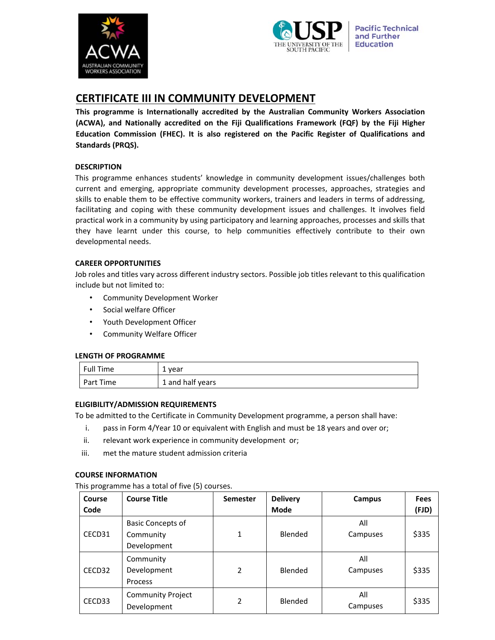



# **CERTIFICATE III IN COMMUNITY DEVELOPMENT**

**This programme is Internationally accredited by the Australian Community Workers Association (ACWA), and Nationally accredited on the Fiji Qualifications Framework (FQF) by the Fiji Higher Education Commission (FHEC). It is also registered on the Pacific Register of Qualifications and Standards (PRQS).** 

### **DESCRIPTION**

This programme enhances students' knowledge in community development issues/challenges both current and emerging, appropriate community development processes, approaches, strategies and skills to enable them to be effective community workers, trainers and leaders in terms of addressing, facilitating and coping with these community development issues and challenges. It involves field practical work in a community by using participatory and learning approaches, processes and skills that they have learnt under this course, to help communities effectively contribute to their own developmental needs.

#### **CAREER OPPORTUNITIES**

Job roles and titles vary across different industry sectors. Possible job titles relevant to this qualification include but not limited to:

- Community Development Worker
- Social welfare Officer
- Youth Development Officer
- Community Welfare Officer

#### **LENGTH OF PROGRAMME**

| Full Time | 1 year           |
|-----------|------------------|
| Part Time | 1 and half years |

#### **ELIGIBILITY/ADMISSION REQUIREMENTS**

To be admitted to the Certificate in Community Development programme, a person shall have:

- i. pass in Form 4/Year 10 or equivalent with English and must be 18 years and over or;
- ii. relevant work experience in community development or;
- iii. met the mature student admission criteria

#### **COURSE INFORMATION**

#### This programme has a total of five (5) courses.

| Course<br>Code | <b>Course Title</b>                                  | <b>Semester</b> | <b>Delivery</b><br><b>Mode</b> | Campus          | <b>Fees</b><br>(FJD) |
|----------------|------------------------------------------------------|-----------------|--------------------------------|-----------------|----------------------|
| CECD31         | <b>Basic Concepts of</b><br>Community<br>Development | 1               | Blended                        | All<br>Campuses | \$335                |
| CECD32         | Community<br>Development<br>Process                  | $\overline{2}$  | Blended                        | All<br>Campuses | \$335                |
| CECD33         | <b>Community Project</b><br>Development              | 2               | Blended                        | All<br>Campuses | \$335                |